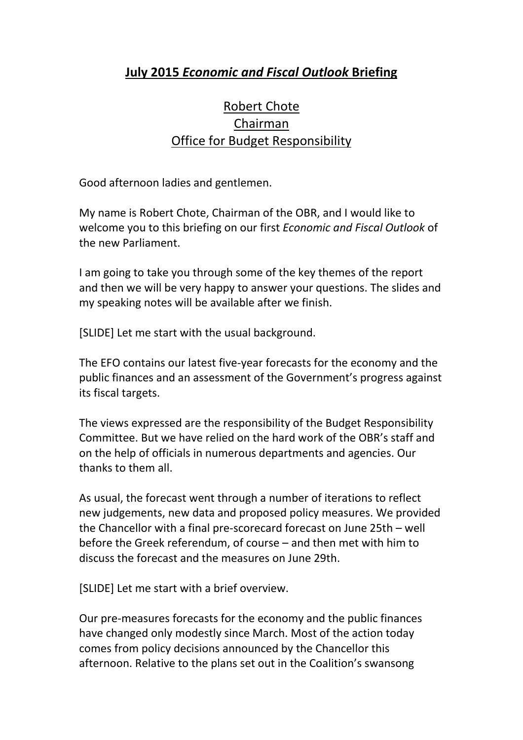## **July 2015** *Economic and Fiscal Outlook* **Briefing**

## Robert Chote Chairman Office for Budget Responsibility

Good afternoon ladies and gentlemen.

My name is Robert Chote, Chairman of the OBR, and I would like to welcome you to this briefing on our first *Economic and Fiscal Outlook* of the new Parliament.

I am going to take you through some of the key themes of the report and then we will be very happy to answer your questions. The slides and my speaking notes will be available after we finish.

[SLIDE] Let me start with the usual background.

The EFO contains our latest five-year forecasts for the economy and the public finances and an assessment of the Government's progress against its fiscal targets.

The views expressed are the responsibility of the Budget Responsibility Committee. But we have relied on the hard work of the OBR's staff and on the help of officials in numerous departments and agencies. Our thanks to them all.

As usual, the forecast went through a number of iterations to reflect new judgements, new data and proposed policy measures. We provided the Chancellor with a final pre-scorecard forecast on June 25th – well before the Greek referendum, of course – and then met with him to discuss the forecast and the measures on June 29th.

[SLIDE] Let me start with a brief overview.

Our pre-measures forecasts for the economy and the public finances have changed only modestly since March. Most of the action today comes from policy decisions announced by the Chancellor this afternoon. Relative to the plans set out in the Coalition's swansong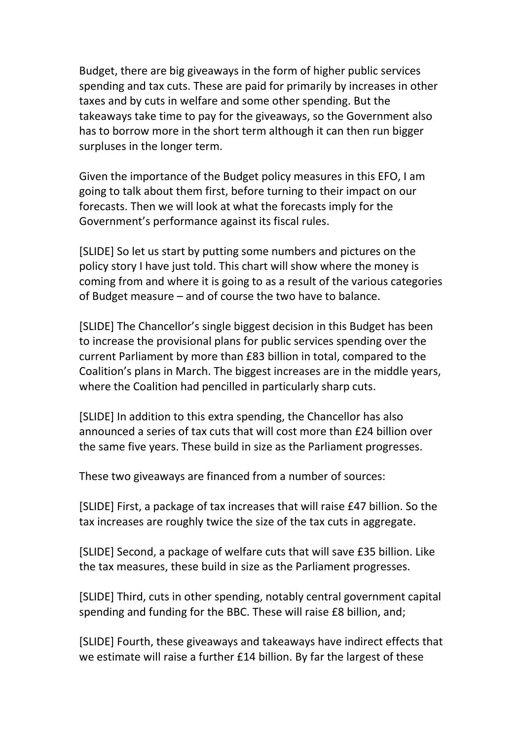Budget, there are big giveaways in the form of higher public services spending and tax cuts. These are paid for primarily by increases in other taxes and by cuts in welfare and some other spending. But the takeaways take time to pay for the giveaways, so the Government also has to borrow more in the short term although it can then run bigger surpluses in the longer term.

Given the importance of the Budget policy measures in this EFO, I am going to talk about them first, before turning to their impact on our forecasts. Then we will look at what the forecasts imply for the Government's performance against its fiscal rules.

[SLIDE] So let us start by putting some numbers and pictures on the policy story I have just told. This chart will show where the money is coming from and where it is going to as a result of the various categories of Budget measure – and of course the two have to balance.

[SLIDE] The Chancellor's single biggest decision in this Budget has been to increase the provisional plans for public services spending over the current Parliament by more than £83 billion in total, compared to the Coalition's plans in March. The biggest increases are in the middle years, where the Coalition had pencilled in particularly sharp cuts.

[SLIDE] In addition to this extra spending, the Chancellor has also announced a series of tax cuts that will cost more than £24 billion over the same five years. These build in size as the Parliament progresses.

These two giveaways are financed from a number of sources:

[SLIDE] First, a package of tax increases that will raise £47 billion. So the tax increases are roughly twice the size of the tax cuts in aggregate.

[SLIDE] Second, a package of welfare cuts that will save £35 billion. Like the tax measures, these build in size as the Parliament progresses.

[SLIDE] Third, cuts in other spending, notably central government capital spending and funding for the BBC. These will raise £8 billion, and;

[SLIDE] Fourth, these giveaways and takeaways have indirect effects that we estimate will raise a further £14 billion. By far the largest of these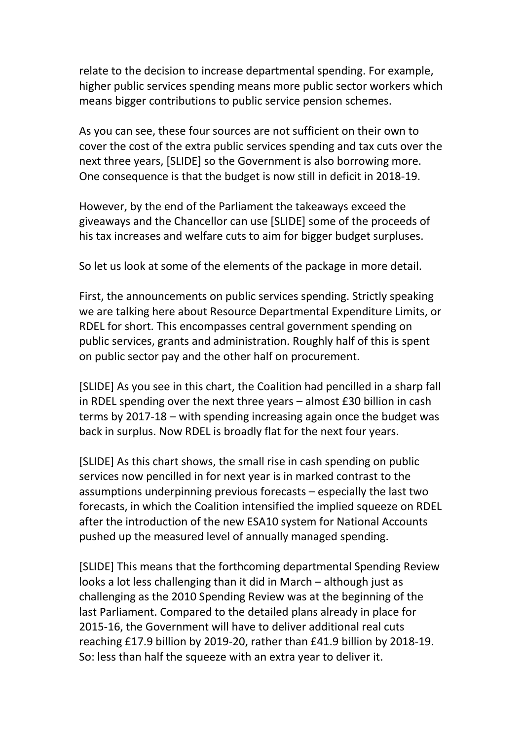relate to the decision to increase departmental spending. For example, higher public services spending means more public sector workers which means bigger contributions to public service pension schemes.

As you can see, these four sources are not sufficient on their own to cover the cost of the extra public services spending and tax cuts over the next three years, [SLIDE] so the Government is also borrowing more. One consequence is that the budget is now still in deficit in 2018-19.

However, by the end of the Parliament the takeaways exceed the giveaways and the Chancellor can use [SLIDE] some of the proceeds of his tax increases and welfare cuts to aim for bigger budget surpluses.

So let us look at some of the elements of the package in more detail.

First, the announcements on public services spending. Strictly speaking we are talking here about Resource Departmental Expenditure Limits, or RDEL for short. This encompasses central government spending on public services, grants and administration. Roughly half of this is spent on public sector pay and the other half on procurement.

[SLIDE] As you see in this chart, the Coalition had pencilled in a sharp fall in RDEL spending over the next three years – almost £30 billion in cash terms by 2017-18 – with spending increasing again once the budget was back in surplus. Now RDEL is broadly flat for the next four years.

[SLIDE] As this chart shows, the small rise in cash spending on public services now pencilled in for next year is in marked contrast to the assumptions underpinning previous forecasts – especially the last two forecasts, in which the Coalition intensified the implied squeeze on RDEL after the introduction of the new ESA10 system for National Accounts pushed up the measured level of annually managed spending.

[SLIDE] This means that the forthcoming departmental Spending Review looks a lot less challenging than it did in March – although just as challenging as the 2010 Spending Review was at the beginning of the last Parliament. Compared to the detailed plans already in place for 2015-16, the Government will have to deliver additional real cuts reaching £17.9 billion by 2019-20, rather than £41.9 billion by 2018-19. So: less than half the squeeze with an extra year to deliver it.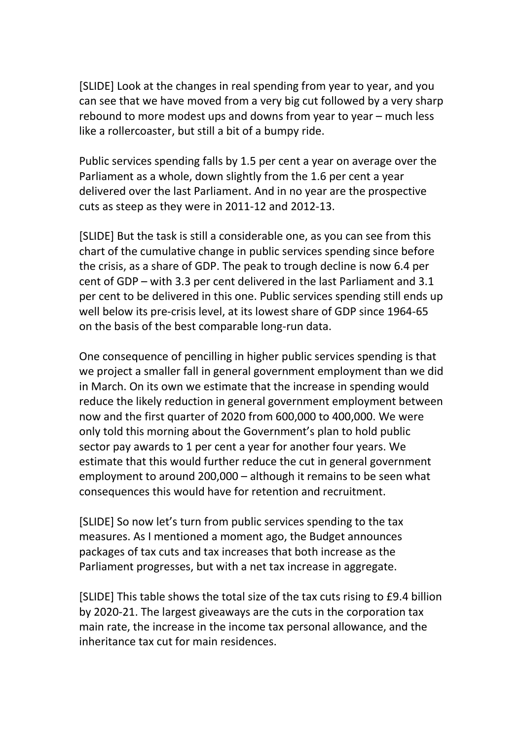[SLIDE] Look at the changes in real spending from year to year, and you can see that we have moved from a very big cut followed by a very sharp rebound to more modest ups and downs from year to year – much less like a rollercoaster, but still a bit of a bumpy ride.

Public services spending falls by 1.5 per cent a year on average over the Parliament as a whole, down slightly from the 1.6 per cent a year delivered over the last Parliament. And in no year are the prospective cuts as steep as they were in 2011-12 and 2012-13.

[SLIDE] But the task is still a considerable one, as you can see from this chart of the cumulative change in public services spending since before the crisis, as a share of GDP. The peak to trough decline is now 6.4 per cent of GDP – with 3.3 per cent delivered in the last Parliament and 3.1 per cent to be delivered in this one. Public services spending still ends up well below its pre-crisis level, at its lowest share of GDP since 1964-65 on the basis of the best comparable long-run data.

One consequence of pencilling in higher public services spending is that we project a smaller fall in general government employment than we did in March. On its own we estimate that the increase in spending would reduce the likely reduction in general government employment between now and the first quarter of 2020 from 600,000 to 400,000. We were only told this morning about the Government's plan to hold public sector pay awards to 1 per cent a year for another four years. We estimate that this would further reduce the cut in general government employment to around 200,000 – although it remains to be seen what consequences this would have for retention and recruitment.

[SLIDE] So now let's turn from public services spending to the tax measures. As I mentioned a moment ago, the Budget announces packages of tax cuts and tax increases that both increase as the Parliament progresses, but with a net tax increase in aggregate.

[SLIDE] This table shows the total size of the tax cuts rising to £9.4 billion by 2020-21. The largest giveaways are the cuts in the corporation tax main rate, the increase in the income tax personal allowance, and the inheritance tax cut for main residences.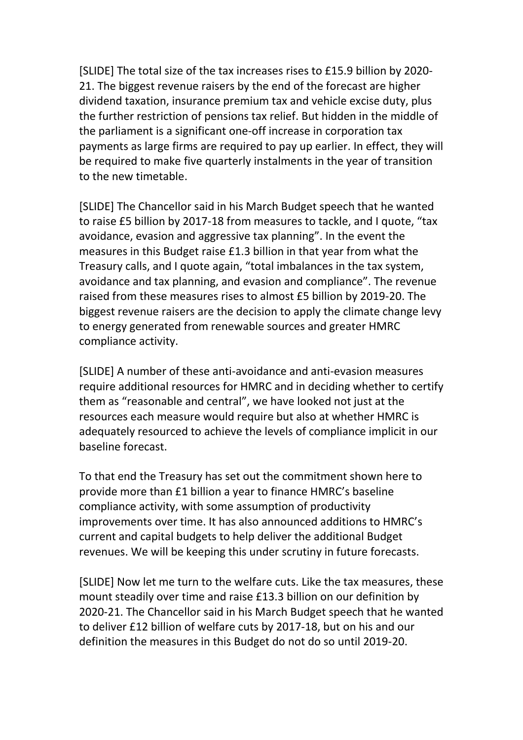[SLIDE] The total size of the tax increases rises to £15.9 billion by 2020- 21. The biggest revenue raisers by the end of the forecast are higher dividend taxation, insurance premium tax and vehicle excise duty, plus the further restriction of pensions tax relief. But hidden in the middle of the parliament is a significant one-off increase in corporation tax payments as large firms are required to pay up earlier. In effect, they will be required to make five quarterly instalments in the year of transition to the new timetable.

[SLIDE] The Chancellor said in his March Budget speech that he wanted to raise £5 billion by 2017-18 from measures to tackle, and I quote, "tax avoidance, evasion and aggressive tax planning". In the event the measures in this Budget raise £1.3 billion in that year from what the Treasury calls, and I quote again, "total imbalances in the tax system, avoidance and tax planning, and evasion and compliance". The revenue raised from these measures rises to almost £5 billion by 2019-20. The biggest revenue raisers are the decision to apply the climate change levy to energy generated from renewable sources and greater HMRC compliance activity.

[SLIDE] A number of these anti-avoidance and anti-evasion measures require additional resources for HMRC and in deciding whether to certify them as "reasonable and central", we have looked not just at the resources each measure would require but also at whether HMRC is adequately resourced to achieve the levels of compliance implicit in our baseline forecast.

To that end the Treasury has set out the commitment shown here to provide more than £1 billion a year to finance HMRC's baseline compliance activity, with some assumption of productivity improvements over time. It has also announced additions to HMRC's current and capital budgets to help deliver the additional Budget revenues. We will be keeping this under scrutiny in future forecasts.

[SLIDE] Now let me turn to the welfare cuts. Like the tax measures, these mount steadily over time and raise £13.3 billion on our definition by 2020-21. The Chancellor said in his March Budget speech that he wanted to deliver £12 billion of welfare cuts by 2017-18, but on his and our definition the measures in this Budget do not do so until 2019-20.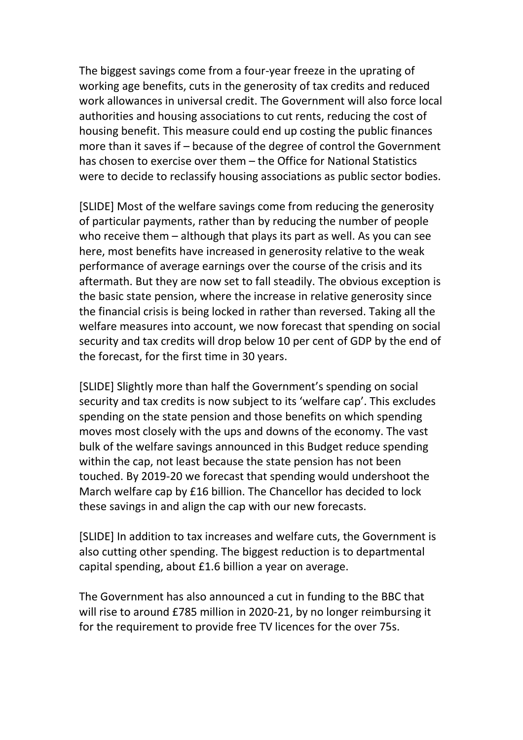The biggest savings come from a four-year freeze in the uprating of working age benefits, cuts in the generosity of tax credits and reduced work allowances in universal credit. The Government will also force local authorities and housing associations to cut rents, reducing the cost of housing benefit. This measure could end up costing the public finances more than it saves if – because of the degree of control the Government has chosen to exercise over them – the Office for National Statistics were to decide to reclassify housing associations as public sector bodies.

[SLIDE] Most of the welfare savings come from reducing the generosity of particular payments, rather than by reducing the number of people who receive them – although that plays its part as well. As you can see here, most benefits have increased in generosity relative to the weak performance of average earnings over the course of the crisis and its aftermath. But they are now set to fall steadily. The obvious exception is the basic state pension, where the increase in relative generosity since the financial crisis is being locked in rather than reversed. Taking all the welfare measures into account, we now forecast that spending on social security and tax credits will drop below 10 per cent of GDP by the end of the forecast, for the first time in 30 years.

[SLIDE] Slightly more than half the Government's spending on social security and tax credits is now subject to its 'welfare cap'. This excludes spending on the state pension and those benefits on which spending moves most closely with the ups and downs of the economy. The vast bulk of the welfare savings announced in this Budget reduce spending within the cap, not least because the state pension has not been touched. By 2019-20 we forecast that spending would undershoot the March welfare cap by £16 billion. The Chancellor has decided to lock these savings in and align the cap with our new forecasts.

[SLIDE] In addition to tax increases and welfare cuts, the Government is also cutting other spending. The biggest reduction is to departmental capital spending, about £1.6 billion a year on average.

The Government has also announced a cut in funding to the BBC that will rise to around £785 million in 2020-21, by no longer reimbursing it for the requirement to provide free TV licences for the over 75s.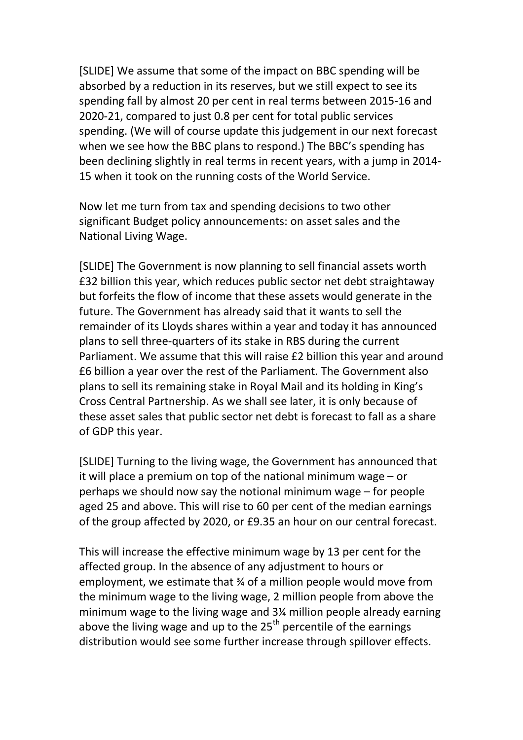[SLIDE] We assume that some of the impact on BBC spending will be absorbed by a reduction in its reserves, but we still expect to see its spending fall by almost 20 per cent in real terms between 2015-16 and 2020-21, compared to just 0.8 per cent for total public services spending. (We will of course update this judgement in our next forecast when we see how the BBC plans to respond.) The BBC's spending has been declining slightly in real terms in recent years, with a jump in 2014- 15 when it took on the running costs of the World Service.

Now let me turn from tax and spending decisions to two other significant Budget policy announcements: on asset sales and the National Living Wage.

[SLIDE] The Government is now planning to sell financial assets worth £32 billion this year, which reduces public sector net debt straightaway but forfeits the flow of income that these assets would generate in the future. The Government has already said that it wants to sell the remainder of its Lloyds shares within a year and today it has announced plans to sell three-quarters of its stake in RBS during the current Parliament. We assume that this will raise £2 billion this year and around £6 billion a year over the rest of the Parliament. The Government also plans to sell its remaining stake in Royal Mail and its holding in King's Cross Central Partnership. As we shall see later, it is only because of these asset sales that public sector net debt is forecast to fall as a share of GDP this year.

[SLIDE] Turning to the living wage, the Government has announced that it will place a premium on top of the national minimum wage – or perhaps we should now say the notional minimum wage – for people aged 25 and above. This will rise to 60 per cent of the median earnings of the group affected by 2020, or £9.35 an hour on our central forecast.

This will increase the effective minimum wage by 13 per cent for the affected group. In the absence of any adjustment to hours or employment, we estimate that ¾ of a million people would move from the minimum wage to the living wage, 2 million people from above the minimum wage to the living wage and 3¼ million people already earning above the living wage and up to the  $25<sup>th</sup>$  percentile of the earnings distribution would see some further increase through spillover effects.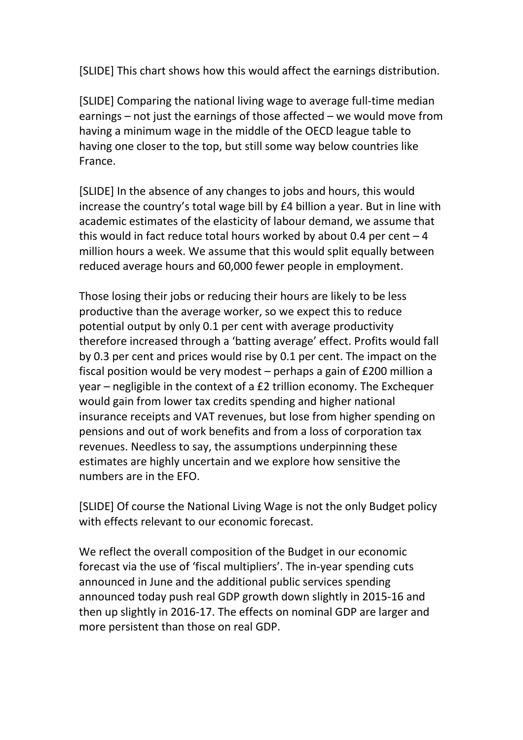[SLIDE] This chart shows how this would affect the earnings distribution.

[SLIDE] Comparing the national living wage to average full-time median earnings – not just the earnings of those affected – we would move from having a minimum wage in the middle of the OECD league table to having one closer to the top, but still some way below countries like France.

[SLIDE] In the absence of any changes to jobs and hours, this would increase the country's total wage bill by £4 billion a year. But in line with academic estimates of the elasticity of labour demand, we assume that this would in fact reduce total hours worked by about 0.4 per cent  $-4$ million hours a week. We assume that this would split equally between reduced average hours and 60,000 fewer people in employment.

Those losing their jobs or reducing their hours are likely to be less productive than the average worker, so we expect this to reduce potential output by only 0.1 per cent with average productivity therefore increased through a 'batting average' effect. Profits would fall by 0.3 per cent and prices would rise by 0.1 per cent. The impact on the fiscal position would be very modest – perhaps a gain of £200 million a year – negligible in the context of a £2 trillion economy. The Exchequer would gain from lower tax credits spending and higher national insurance receipts and VAT revenues, but lose from higher spending on pensions and out of work benefits and from a loss of corporation tax revenues. Needless to say, the assumptions underpinning these estimates are highly uncertain and we explore how sensitive the numbers are in the EFO.

[SLIDE] Of course the National Living Wage is not the only Budget policy with effects relevant to our economic forecast.

We reflect the overall composition of the Budget in our economic forecast via the use of 'fiscal multipliers'. The in-year spending cuts announced in June and the additional public services spending announced today push real GDP growth down slightly in 2015-16 and then up slightly in 2016-17. The effects on nominal GDP are larger and more persistent than those on real GDP.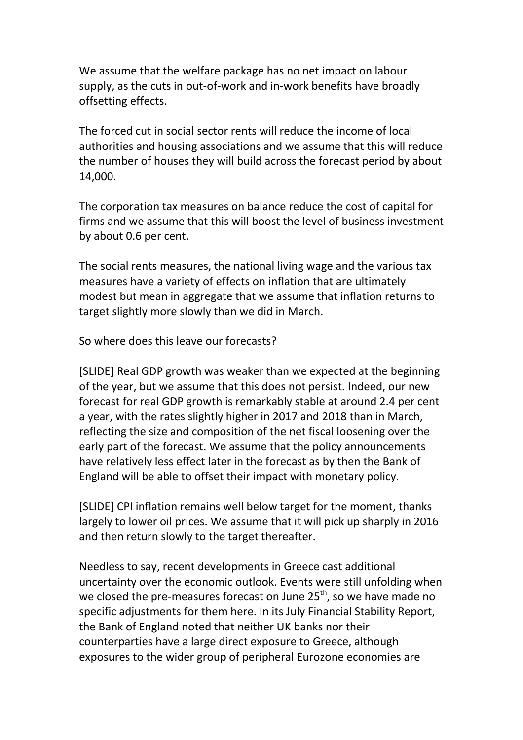We assume that the welfare package has no net impact on labour supply, as the cuts in out-of-work and in-work benefits have broadly offsetting effects.

The forced cut in social sector rents will reduce the income of local authorities and housing associations and we assume that this will reduce the number of houses they will build across the forecast period by about 14,000.

The corporation tax measures on balance reduce the cost of capital for firms and we assume that this will boost the level of business investment by about 0.6 per cent.

The social rents measures, the national living wage and the various tax measures have a variety of effects on inflation that are ultimately modest but mean in aggregate that we assume that inflation returns to target slightly more slowly than we did in March.

So where does this leave our forecasts?

[SLIDE] Real GDP growth was weaker than we expected at the beginning of the year, but we assume that this does not persist. Indeed, our new forecast for real GDP growth is remarkably stable at around 2.4 per cent a year, with the rates slightly higher in 2017 and 2018 than in March, reflecting the size and composition of the net fiscal loosening over the early part of the forecast. We assume that the policy announcements have relatively less effect later in the forecast as by then the Bank of England will be able to offset their impact with monetary policy.

[SLIDE] CPI inflation remains well below target for the moment, thanks largely to lower oil prices. We assume that it will pick up sharply in 2016 and then return slowly to the target thereafter.

Needless to say, recent developments in Greece cast additional uncertainty over the economic outlook. Events were still unfolding when we closed the pre-measures forecast on June 25<sup>th</sup>, so we have made no specific adjustments for them here. In its July Financial Stability Report, the Bank of England noted that neither UK banks nor their counterparties have a large direct exposure to Greece, although exposures to the wider group of peripheral Eurozone economies are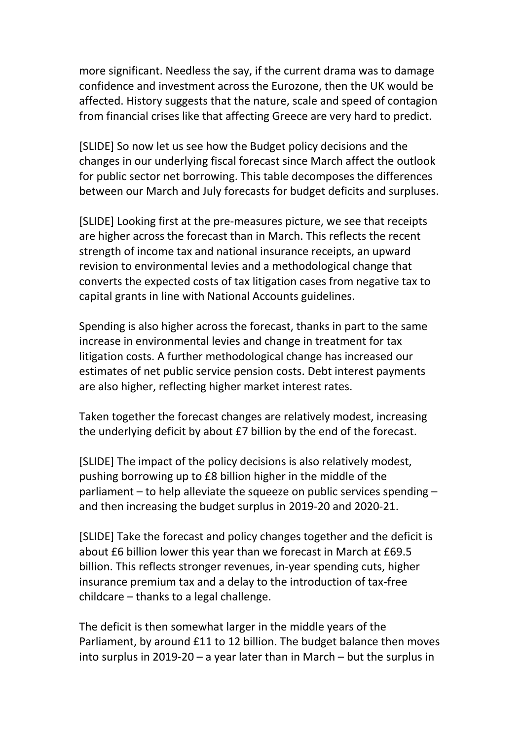more significant. Needless the say, if the current drama was to damage confidence and investment across the Eurozone, then the UK would be affected. History suggests that the nature, scale and speed of contagion from financial crises like that affecting Greece are very hard to predict.

[SLIDE] So now let us see how the Budget policy decisions and the changes in our underlying fiscal forecast since March affect the outlook for public sector net borrowing. This table decomposes the differences between our March and July forecasts for budget deficits and surpluses.

[SLIDE] Looking first at the pre-measures picture, we see that receipts are higher across the forecast than in March. This reflects the recent strength of income tax and national insurance receipts, an upward revision to environmental levies and a methodological change that converts the expected costs of tax litigation cases from negative tax to capital grants in line with National Accounts guidelines.

Spending is also higher across the forecast, thanks in part to the same increase in environmental levies and change in treatment for tax litigation costs. A further methodological change has increased our estimates of net public service pension costs. Debt interest payments are also higher, reflecting higher market interest rates.

Taken together the forecast changes are relatively modest, increasing the underlying deficit by about £7 billion by the end of the forecast.

[SLIDE] The impact of the policy decisions is also relatively modest, pushing borrowing up to £8 billion higher in the middle of the parliament – to help alleviate the squeeze on public services spending – and then increasing the budget surplus in 2019-20 and 2020-21.

[SLIDE] Take the forecast and policy changes together and the deficit is about £6 billion lower this year than we forecast in March at £69.5 billion. This reflects stronger revenues, in-year spending cuts, higher insurance premium tax and a delay to the introduction of tax-free childcare – thanks to a legal challenge.

The deficit is then somewhat larger in the middle years of the Parliament, by around £11 to 12 billion. The budget balance then moves into surplus in 2019-20 – a year later than in March – but the surplus in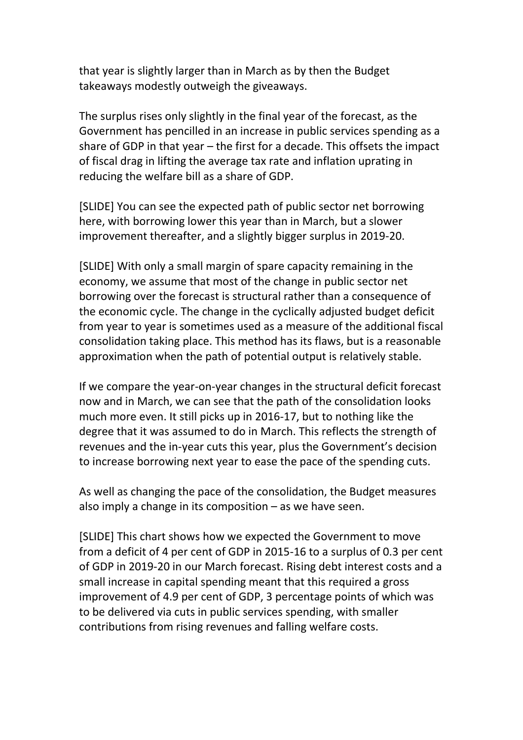that year is slightly larger than in March as by then the Budget takeaways modestly outweigh the giveaways.

The surplus rises only slightly in the final year of the forecast, as the Government has pencilled in an increase in public services spending as a share of GDP in that year – the first for a decade. This offsets the impact of fiscal drag in lifting the average tax rate and inflation uprating in reducing the welfare bill as a share of GDP.

[SLIDE] You can see the expected path of public sector net borrowing here, with borrowing lower this year than in March, but a slower improvement thereafter, and a slightly bigger surplus in 2019-20.

[SLIDE] With only a small margin of spare capacity remaining in the economy, we assume that most of the change in public sector net borrowing over the forecast is structural rather than a consequence of the economic cycle. The change in the cyclically adjusted budget deficit from year to year is sometimes used as a measure of the additional fiscal consolidation taking place. This method has its flaws, but is a reasonable approximation when the path of potential output is relatively stable.

If we compare the year-on-year changes in the structural deficit forecast now and in March, we can see that the path of the consolidation looks much more even. It still picks up in 2016-17, but to nothing like the degree that it was assumed to do in March. This reflects the strength of revenues and the in-year cuts this year, plus the Government's decision to increase borrowing next year to ease the pace of the spending cuts.

As well as changing the pace of the consolidation, the Budget measures also imply a change in its composition  $-$  as we have seen.

[SLIDE] This chart shows how we expected the Government to move from a deficit of 4 per cent of GDP in 2015-16 to a surplus of 0.3 per cent of GDP in 2019-20 in our March forecast. Rising debt interest costs and a small increase in capital spending meant that this required a gross improvement of 4.9 per cent of GDP, 3 percentage points of which was to be delivered via cuts in public services spending, with smaller contributions from rising revenues and falling welfare costs.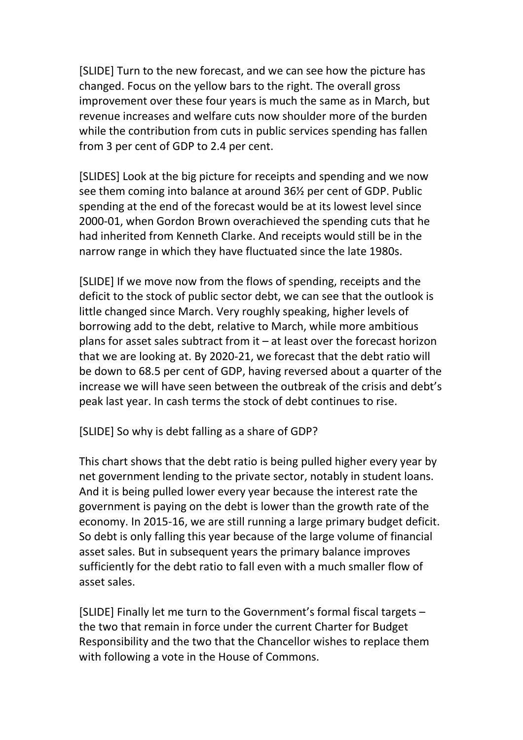[SLIDE] Turn to the new forecast, and we can see how the picture has changed. Focus on the yellow bars to the right. The overall gross improvement over these four years is much the same as in March, but revenue increases and welfare cuts now shoulder more of the burden while the contribution from cuts in public services spending has fallen from 3 per cent of GDP to 2.4 per cent.

[SLIDES] Look at the big picture for receipts and spending and we now see them coming into balance at around 36½ per cent of GDP. Public spending at the end of the forecast would be at its lowest level since 2000-01, when Gordon Brown overachieved the spending cuts that he had inherited from Kenneth Clarke. And receipts would still be in the narrow range in which they have fluctuated since the late 1980s.

[SLIDE] If we move now from the flows of spending, receipts and the deficit to the stock of public sector debt, we can see that the outlook is little changed since March. Very roughly speaking, higher levels of borrowing add to the debt, relative to March, while more ambitious plans for asset sales subtract from it – at least over the forecast horizon that we are looking at. By 2020-21, we forecast that the debt ratio will be down to 68.5 per cent of GDP, having reversed about a quarter of the increase we will have seen between the outbreak of the crisis and debt's peak last year. In cash terms the stock of debt continues to rise.

[SLIDE] So why is debt falling as a share of GDP?

This chart shows that the debt ratio is being pulled higher every year by net government lending to the private sector, notably in student loans. And it is being pulled lower every year because the interest rate the government is paying on the debt is lower than the growth rate of the economy. In 2015-16, we are still running a large primary budget deficit. So debt is only falling this year because of the large volume of financial asset sales. But in subsequent years the primary balance improves sufficiently for the debt ratio to fall even with a much smaller flow of asset sales.

[SLIDE] Finally let me turn to the Government's formal fiscal targets – the two that remain in force under the current Charter for Budget Responsibility and the two that the Chancellor wishes to replace them with following a vote in the House of Commons.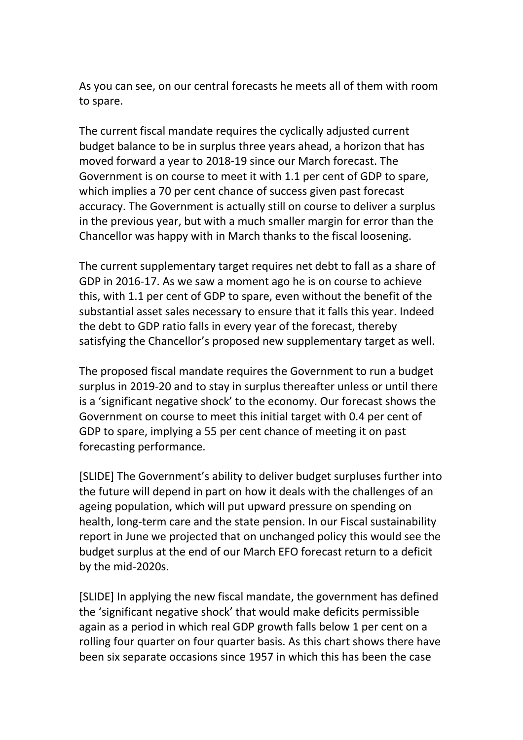As you can see, on our central forecasts he meets all of them with room to spare.

The current fiscal mandate requires the cyclically adjusted current budget balance to be in surplus three years ahead, a horizon that has moved forward a year to 2018-19 since our March forecast. The Government is on course to meet it with 1.1 per cent of GDP to spare, which implies a 70 per cent chance of success given past forecast accuracy. The Government is actually still on course to deliver a surplus in the previous year, but with a much smaller margin for error than the Chancellor was happy with in March thanks to the fiscal loosening.

The current supplementary target requires net debt to fall as a share of GDP in 2016-17. As we saw a moment ago he is on course to achieve this, with 1.1 per cent of GDP to spare, even without the benefit of the substantial asset sales necessary to ensure that it falls this year. Indeed the debt to GDP ratio falls in every year of the forecast, thereby satisfying the Chancellor's proposed new supplementary target as well.

The proposed fiscal mandate requires the Government to run a budget surplus in 2019-20 and to stay in surplus thereafter unless or until there is a 'significant negative shock' to the economy. Our forecast shows the Government on course to meet this initial target with 0.4 per cent of GDP to spare, implying a 55 per cent chance of meeting it on past forecasting performance.

[SLIDE] The Government's ability to deliver budget surpluses further into the future will depend in part on how it deals with the challenges of an ageing population, which will put upward pressure on spending on health, long-term care and the state pension. In our Fiscal sustainability report in June we projected that on unchanged policy this would see the budget surplus at the end of our March EFO forecast return to a deficit by the mid-2020s.

[SLIDE] In applying the new fiscal mandate, the government has defined the 'significant negative shock' that would make deficits permissible again as a period in which real GDP growth falls below 1 per cent on a rolling four quarter on four quarter basis. As this chart shows there have been six separate occasions since 1957 in which this has been the case